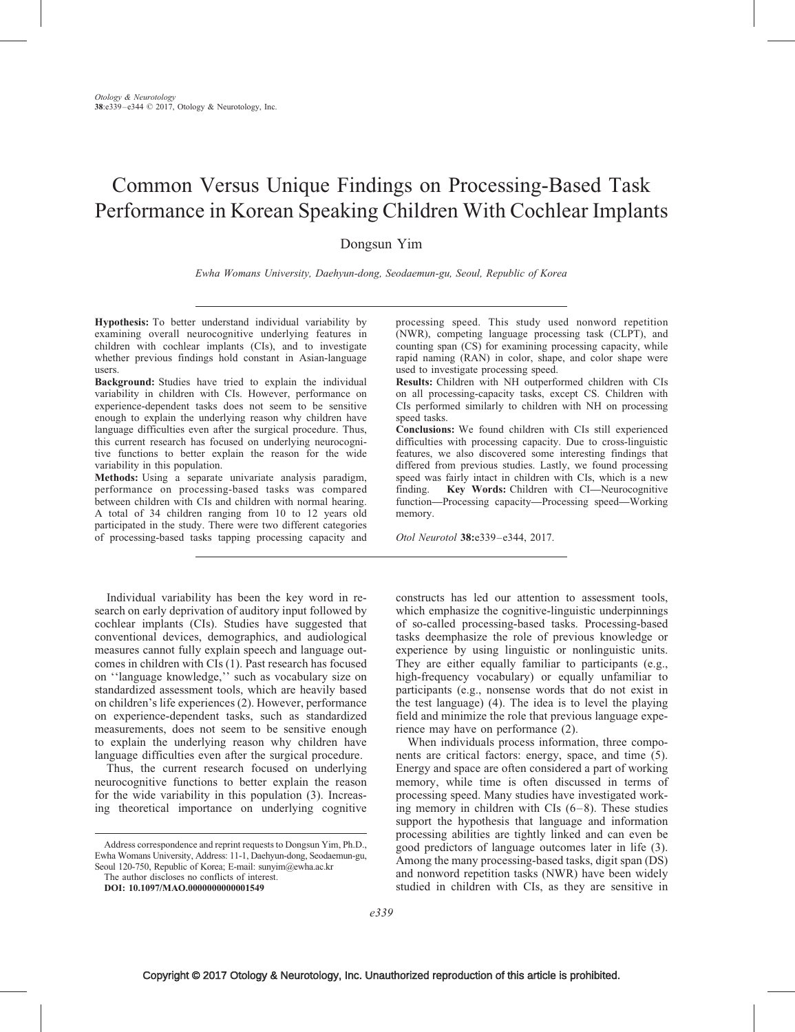# Common Versus Unique Findings on Processing-Based Task Performance in Korean Speaking Children With Cochlear Implants

Dongsun Yim

Ewha Womans University, Daehyun-dong, Seodaemun-gu, Seoul, Republic of Korea

Hypothesis: To better understand individual variability by examining overall neurocognitive underlying features in children with cochlear implants (CIs), and to investigate whether previous findings hold constant in Asian-language users.

Background: Studies have tried to explain the individual variability in children with CIs. However, performance on experience-dependent tasks does not seem to be sensitive enough to explain the underlying reason why children have language difficulties even after the surgical procedure. Thus, this current research has focused on underlying neurocognitive functions to better explain the reason for the wide variability in this population.

Methods: Using a separate univariate analysis paradigm, performance on processing-based tasks was compared between children with CIs and children with normal hearing. A total of 34 children ranging from 10 to 12 years old participated in the study. There were two different categories of processing-based tasks tapping processing capacity and

Individual variability has been the key word in research on early deprivation of auditory input followed by cochlear implants (CIs). Studies have suggested that conventional devices, demographics, and audiological measures cannot fully explain speech and language outcomes in children with CIs [\(1\).](#page-5-0) Past research has focused on ''language knowledge,'' such as vocabulary size on standardized assessment tools, which are heavily based on children's life experiences [\(2\)](#page-5-0). However, performance on experience-dependent tasks, such as standardized measurements, does not seem to be sensitive enough to explain the underlying reason why children have language difficulties even after the surgical procedure.

Thus, the current research focused on underlying neurocognitive functions to better explain the reason for the wide variability in this population [\(3\)](#page-5-0). Increasing theoretical importance on underlying cognitive

DOI: 10.1097/MAO.0000000000001549

processing speed. This study used nonword repetition (NWR), competing language processing task (CLPT), and counting span (CS) for examining processing capacity, while rapid naming (RAN) in color, shape, and color shape were used to investigate processing speed.

Results: Children with NH outperformed children with CIs on all processing-capacity tasks, except CS. Children with CIs performed similarly to children with NH on processing speed tasks.

Conclusions: We found children with CIs still experienced difficulties with processing capacity. Due to cross-linguistic features, we also discovered some interesting findings that differed from previous studies. Lastly, we found processing speed was fairly intact in children with CIs, which is a new finding. Key Words: Children with CI—Neurocognitive function—Processing capacity—Processing speed—Working memory.

Otol Neurotol 38:e339–e344, 2017.

constructs has led our attention to assessment tools, which emphasize the cognitive-linguistic underpinnings of so-called processing-based tasks. Processing-based tasks deemphasize the role of previous knowledge or experience by using linguistic or nonlinguistic units. They are either equally familiar to participants (e.g., high-frequency vocabulary) or equally unfamiliar to participants (e.g., nonsense words that do not exist in the test language) [\(4\).](#page-5-0) The idea is to level the playing field and minimize the role that previous language experience may have on performance [\(2\)](#page-5-0).

When individuals process information, three components are critical factors: energy, space, and time [\(5\).](#page-5-0) Energy and space are often considered a part of working memory, while time is often discussed in terms of processing speed. Many studies have investigated working memory in children with  $CIs$   $(6-8)$ . These studies support the hypothesis that language and information processing abilities are tightly linked and can even be good predictors of language outcomes later in life [\(3\).](#page-5-0) Among the many processing-based tasks, digit span (DS) and nonword repetition tasks (NWR) have been widely studied in children with CIs, as they are sensitive in

Address correspondence and reprint requests to Dongsun Yim, Ph.D., Ewha Womans University, Address: 11-1, Daehyun-dong, Seodaemun-gu, Seoul 120-750, Republic of Korea; E-mail: [sunyim@ewha.ac.kr](mailto:sunyim@ewha.ac.kr)

The author discloses no conflicts of interest.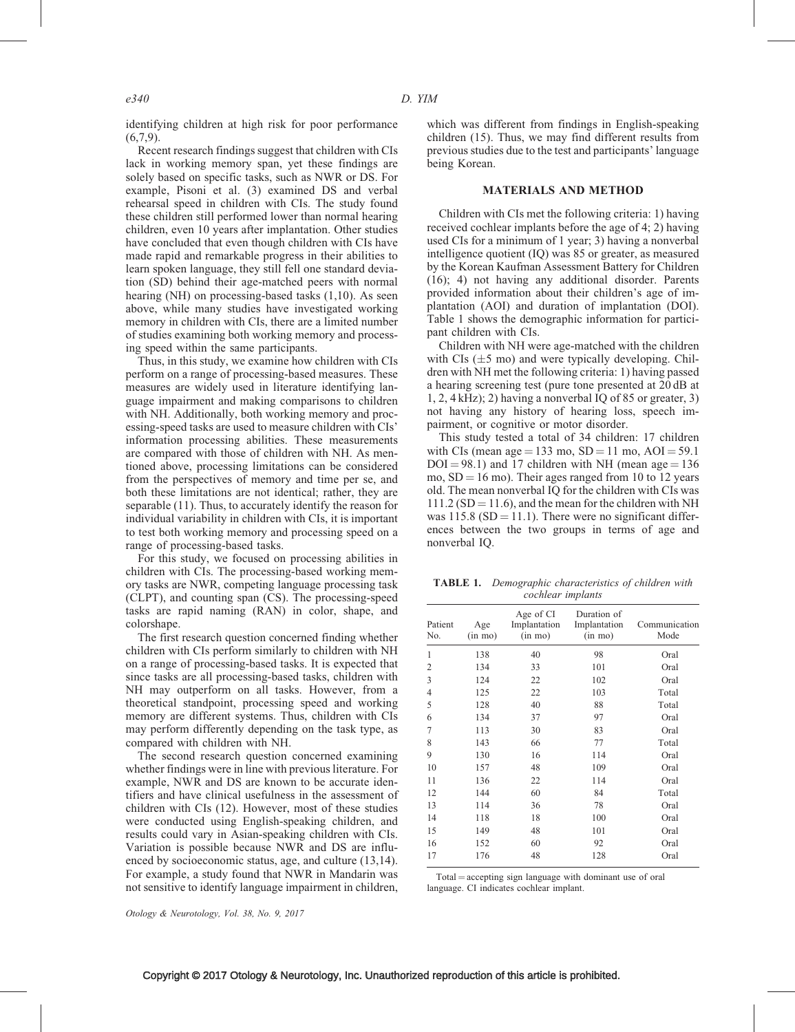identifying children at high risk for poor performance  $(6,7,9)$ .

Recent research findings suggest that children with CIs lack in working memory span, yet these findings are solely based on specific tasks, such as NWR or DS. For example, Pisoni et al. [\(3\)](#page-5-0) examined DS and verbal rehearsal speed in children with CIs. The study found these children still performed lower than normal hearing children, even 10 years after implantation. Other studies have concluded that even though children with CIs have made rapid and remarkable progress in their abilities to learn spoken language, they still fell one standard deviation (SD) behind their age-matched peers with normal hearing (NH) on processing-based tasks [\(1,10\)](#page-5-0). As seen above, while many studies have investigated working memory in children with CIs, there are a limited number of studies examining both working memory and processing speed within the same participants.

Thus, in this study, we examine how children with CIs perform on a range of processing-based measures. These measures are widely used in literature identifying language impairment and making comparisons to children with NH. Additionally, both working memory and processing-speed tasks are used to measure children with CIs' information processing abilities. These measurements are compared with those of children with NH. As mentioned above, processing limitations can be considered from the perspectives of memory and time per se, and both these limitations are not identical; rather, they are separable [\(11\)](#page-5-0). Thus, to accurately identify the reason for individual variability in children with CIs, it is important to test both working memory and processing speed on a range of processing-based tasks.

For this study, we focused on processing abilities in children with CIs. The processing-based working memory tasks are NWR, competing language processing task (CLPT), and counting span (CS). The processing-speed tasks are rapid naming (RAN) in color, shape, and colorshape.

The first research question concerned finding whether children with CIs perform similarly to children with NH on a range of processing-based tasks. It is expected that since tasks are all processing-based tasks, children with NH may outperform on all tasks. However, from a theoretical standpoint, processing speed and working memory are different systems. Thus, children with CIs may perform differently depending on the task type, as compared with children with NH.

The second research question concerned examining whether findings were in line with previous literature. For example, NWR and DS are known to be accurate identifiers and have clinical usefulness in the assessment of children with CIs [\(12\)](#page-5-0). However, most of these studies were conducted using English-speaking children, and results could vary in Asian-speaking children with CIs. Variation is possible because NWR and DS are influenced by socioeconomic status, age, and culture [\(13,14\)](#page-5-0). For example, a study found that NWR in Mandarin was not sensitive to identify language impairment in children,

which was different from findings in English-speaking children [\(15\).](#page-5-0) Thus, we may find different results from previous studies due to the test and participants' language being Korean.

## MATERIALS AND METHOD

Children with CIs met the following criteria: 1) having received cochlear implants before the age of 4; 2) having used CIs for a minimum of 1 year; 3) having a nonverbal intelligence quotient (IQ) was 85 or greater, as measured by the Korean Kaufman Assessment Battery for Children [\(16\)](#page-5-0); 4) not having any additional disorder. Parents provided information about their children's age of implantation (AOI) and duration of implantation (DOI). Table 1 shows the demographic information for participant children with CIs.

Children with NH were age-matched with the children with CIs  $(\pm 5 \text{ mo})$  and were typically developing. Children with NH met the following criteria: 1) having passed a hearing screening test (pure tone presented at 20 dB at 1, 2, 4 kHz); 2) having a nonverbal IQ of 85 or greater, 3) not having any history of hearing loss, speech impairment, or cognitive or motor disorder.

This study tested a total of 34 children: 17 children with CIs (mean age = 133 mo,  $SD = 11$  mo,  $AOI = 59.1$  $DOI = 98.1$ ) and 17 children with NH (mean age = 136 mo,  $SD = 16$  mo). Their ages ranged from 10 to 12 years old. The mean nonverbal IQ for the children with CIs was  $111.2$  (SD = 11.6), and the mean for the children with NH was  $115.8$  (SD = 11.1). There were no significant differences between the two groups in terms of age and nonverbal IQ.

TABLE 1. Demographic characteristics of children with cochlear implants

| Patient<br>No. | Age<br>$(in \, mo)$ | Age of CI<br>Implantation<br>$(in \, mo)$ | Duration of<br>Implantation<br>$(in \, mo)$ | Communication<br>Mode |  |
|----------------|---------------------|-------------------------------------------|---------------------------------------------|-----------------------|--|
| 1              | 138                 | 40                                        | 98                                          | Oral                  |  |
| $\overline{2}$ | 134                 | 33                                        | 101                                         | Oral                  |  |
| 3              | 124                 | 22                                        | 102                                         | Oral                  |  |
| $\overline{4}$ | 125                 | 22                                        | 103                                         | Total                 |  |
| 5              | 128                 | 40                                        | 88                                          | Total                 |  |
| 6              | 134                 | 37                                        | 97                                          | Oral                  |  |
| 7              | 113                 | 30                                        | 83                                          | Oral                  |  |
| 8              | 143                 | 66                                        | 77                                          | Total                 |  |
| 9              | 130                 | 16                                        | 114                                         | Oral                  |  |
| 10             | 157                 | 48                                        | 109                                         | Oral                  |  |
| 11             | 136                 | 22                                        | 114                                         | Oral                  |  |
| 12             | 144                 | 60                                        | 84                                          | Total                 |  |
| 13             | 114                 | 36                                        | 78                                          | Oral                  |  |
| 14             | 118                 | 18                                        | 100                                         | Oral                  |  |
| 15             | 149                 | 48                                        | 101                                         | Oral                  |  |
| 16             | 152                 | 60                                        | 92                                          | Oral                  |  |
| 17             | 176                 | 48                                        | 128                                         | Oral                  |  |

 $Total = accepting sign language with dominant use of oral$ language. CI indicates cochlear implant.

Otology & Neurotology, Vol. 38, No. 9, 2017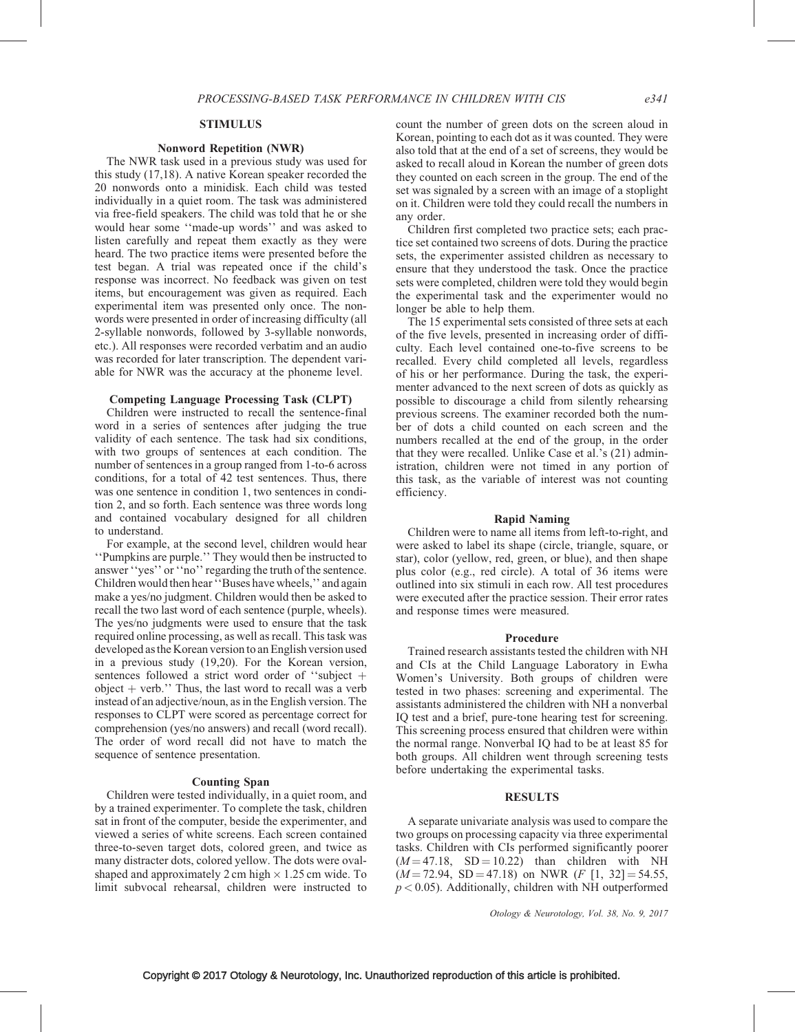#### Nonword Repetition (NWR)

The NWR task used in a previous study was used for this study [\(17,18\)](#page-5-0). A native Korean speaker recorded the 20 nonwords onto a minidisk. Each child was tested individually in a quiet room. The task was administered via free-field speakers. The child was told that he or she would hear some ''made-up words'' and was asked to listen carefully and repeat them exactly as they were heard. The two practice items were presented before the test began. A trial was repeated once if the child's response was incorrect. No feedback was given on test items, but encouragement was given as required. Each experimental item was presented only once. The nonwords were presented in order of increasing difficulty (all 2-syllable nonwords, followed by 3-syllable nonwords, etc.). All responses were recorded verbatim and an audio was recorded for later transcription. The dependent variable for NWR was the accuracy at the phoneme level.

# Competing Language Processing Task (CLPT)

Children were instructed to recall the sentence-final word in a series of sentences after judging the true validity of each sentence. The task had six conditions, with two groups of sentences at each condition. The number of sentences in a group ranged from 1-to-6 across conditions, for a total of 42 test sentences. Thus, there was one sentence in condition 1, two sentences in condition 2, and so forth. Each sentence was three words long and contained vocabulary designed for all children to understand.

For example, at the second level, children would hear ''Pumpkins are purple.'' They would then be instructed to answer ''yes'' or ''no'' regarding the truth of the sentence. Children would then hear ''Buses have wheels,'' and again make a yes/no judgment. Children would then be asked to recall the two last word of each sentence (purple, wheels). The yes/no judgments were used to ensure that the task required online processing, as well as recall. This task was developed as the Korean version to an English version used in a previous study [\(19,20\).](#page-5-0) For the Korean version, sentences followed a strict word order of "subject  $+$ object  $+$  verb." Thus, the last word to recall was a verb instead of an adjective/noun, as in the English version. The responses to CLPT were scored as percentage correct for comprehension (yes/no answers) and recall (word recall). The order of word recall did not have to match the sequence of sentence presentation.

## Counting Span

Children were tested individually, in a quiet room, and by a trained experimenter. To complete the task, children sat in front of the computer, beside the experimenter, and viewed a series of white screens. Each screen contained three-to-seven target dots, colored green, and twice as many distracter dots, colored yellow. The dots were ovalshaped and approximately 2 cm high  $\times$  1.25 cm wide. To limit subvocal rehearsal, children were instructed to

count the number of green dots on the screen aloud in Korean, pointing to each dot as it was counted. They were also told that at the end of a set of screens, they would be asked to recall aloud in Korean the number of green dots they counted on each screen in the group. The end of the set was signaled by a screen with an image of a stoplight on it. Children were told they could recall the numbers in any order.

Children first completed two practice sets; each practice set contained two screens of dots. During the practice sets, the experimenter assisted children as necessary to ensure that they understood the task. Once the practice sets were completed, children were told they would begin the experimental task and the experimenter would no longer be able to help them.

The 15 experimental sets consisted of three sets at each of the five levels, presented in increasing order of difficulty. Each level contained one-to-five screens to be recalled. Every child completed all levels, regardless of his or her performance. During the task, the experimenter advanced to the next screen of dots as quickly as possible to discourage a child from silently rehearsing previous screens. The examiner recorded both the number of dots a child counted on each screen and the numbers recalled at the end of the group, in the order that they were recalled. Unlike Case et al.'s [\(21\)](#page-5-0) administration, children were not timed in any portion of this task, as the variable of interest was not counting efficiency.

#### Rapid Naming

Children were to name all items from left-to-right, and were asked to label its shape (circle, triangle, square, or star), color (yellow, red, green, or blue), and then shape plus color (e.g., red circle). A total of 36 items were outlined into six stimuli in each row. All test procedures were executed after the practice session. Their error rates and response times were measured.

#### Procedure

Trained research assistants tested the children with NH and CIs at the Child Language Laboratory in Ewha Women's University. Both groups of children were tested in two phases: screening and experimental. The assistants administered the children with NH a nonverbal IQ test and a brief, pure-tone hearing test for screening. This screening process ensured that children were within the normal range. Nonverbal IQ had to be at least 85 for both groups. All children went through screening tests before undertaking the experimental tasks.

# **RESULTS**

A separate univariate analysis was used to compare the two groups on processing capacity via three experimental tasks. Children with CIs performed significantly poorer  $(M = 47.18, SD = 10.22)$  than children with NH  $(M = 72.94, SD = 47.18)$  on NWR  $(F [1, 32] = 54.55,$  $p < 0.05$ ). Additionally, children with NH outperformed

Otology & Neurotology, Vol. 38, No. 9, 2017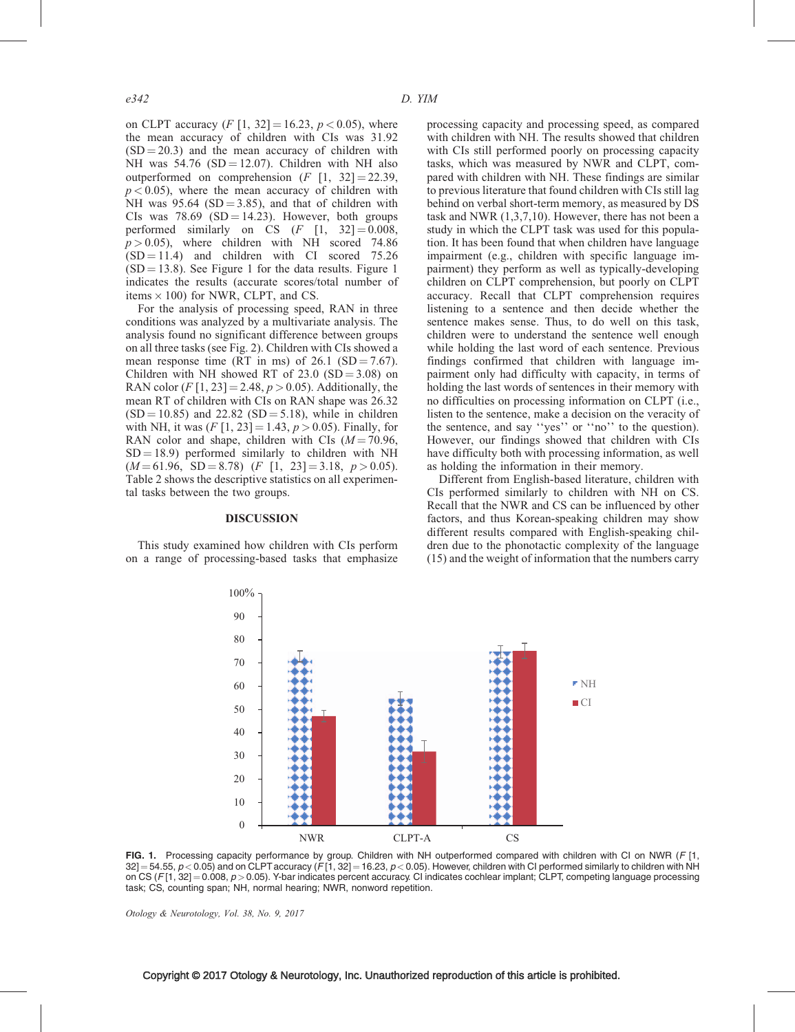on CLPT accuracy  $(F [1, 32] = 16.23, p < 0.05)$ , where the mean accuracy of children with CIs was 31.92  $(SD = 20.3)$  and the mean accuracy of children with NH was  $54.76$  (SD = 12.07). Children with NH also outperformed on comprehension  $(F [1, 32] = 22.39,$  $p < 0.05$ ), where the mean accuracy of children with NH was  $95.64$  (SD = 3.85), and that of children with CIs was  $78.69$  (SD = 14.23). However, both groups performed similarly on CS  $(F [1, 32] = 0.008,$  $p > 0.05$ ), where children with NH scored 74.86  $(SD = 11.4)$  and children with CI scored 75.26  $(SD = 13.8)$ . See Figure 1 for the data results. Figure 1 indicates the results (accurate scores/total number of items  $\times$  100) for NWR, CLPT, and CS.

For the analysis of processing speed, RAN in three conditions was analyzed by a multivariate analysis. The analysis found no significant difference between groups on all three tasks (see Fig. 2). Children with CIs showed a mean response time (RT in ms) of  $26.1$  (SD = 7.67). Children with NH showed RT of  $23.0$  (SD =  $3.08$ ) on RAN color (F [1, 23] = 2.48,  $p > 0.05$ ). Additionally, the mean RT of children with CIs on RAN shape was 26.32  $(SD = 10.85)$  and 22.82  $(SD = 5.18)$ , while in children with NH, it was  $(F [1, 23] = 1.43, p > 0.05)$ . Finally, for RAN color and shape, children with CIs  $(M = 70.96$ ,  $SD = 18.9$ ) performed similarly to children with NH  $(M = 61.96, SD = 8.78)$   $(F [1, 23] = 3.18, p > 0.05)$ . Table 2 shows the descriptive statistics on all experimental tasks between the two groups.

#### DISCUSSION

This study examined how children with CIs perform on a range of processing-based tasks that emphasize processing capacity and processing speed, as compared with children with NH. The results showed that children with CIs still performed poorly on processing capacity tasks, which was measured by NWR and CLPT, compared with children with NH. These findings are similar to previous literature that found children with CIs still lag behind on verbal short-term memory, as measured by DS task and NWR [\(1,3,7,10\)](#page-5-0). However, there has not been a study in which the CLPT task was used for this population. It has been found that when children have language impairment (e.g., children with specific language impairment) they perform as well as typically-developing children on CLPT comprehension, but poorly on CLPT accuracy. Recall that CLPT comprehension requires listening to a sentence and then decide whether the sentence makes sense. Thus, to do well on this task, children were to understand the sentence well enough while holding the last word of each sentence. Previous findings confirmed that children with language impairment only had difficulty with capacity, in terms of holding the last words of sentences in their memory with no difficulties on processing information on CLPT (i.e., listen to the sentence, make a decision on the veracity of the sentence, and say ''yes'' or ''no'' to the question). However, our findings showed that children with CIs have difficulty both with processing information, as well as holding the information in their memory.

Different from English-based literature, children with CIs performed similarly to children with NH on CS. Recall that the NWR and CS can be influenced by other factors, and thus Korean-speaking children may show different results compared with English-speaking children due to the phonotactic complexity of the language [\(15\)](#page-5-0) and the weight of information that the numbers carry



FIG. 1. Processing capacity performance by group. Children with NH outperformed compared with children with CI on NWR (F [1,  $32$ ] = 54.55,  $p < 0.05$ ) and on CLPT accuracy (F[1, 32] = 16.23,  $p < 0.05$ ). However, children with CI performed similarly to children with NH on CS ( $F[1, 32] = 0.008$ ,  $p > 0.05$ ). Y-bar indicates percent accuracy. CI indicates cochlear implant; CLPT, competing language processing task; CS, counting span; NH, normal hearing; NWR, nonword repetition.

Otology & Neurotology, Vol. 38, No. 9, 2017

## Copyright © 2017 Otology & Neurotology, Inc. Unauthorized reproduction of this article is prohibited.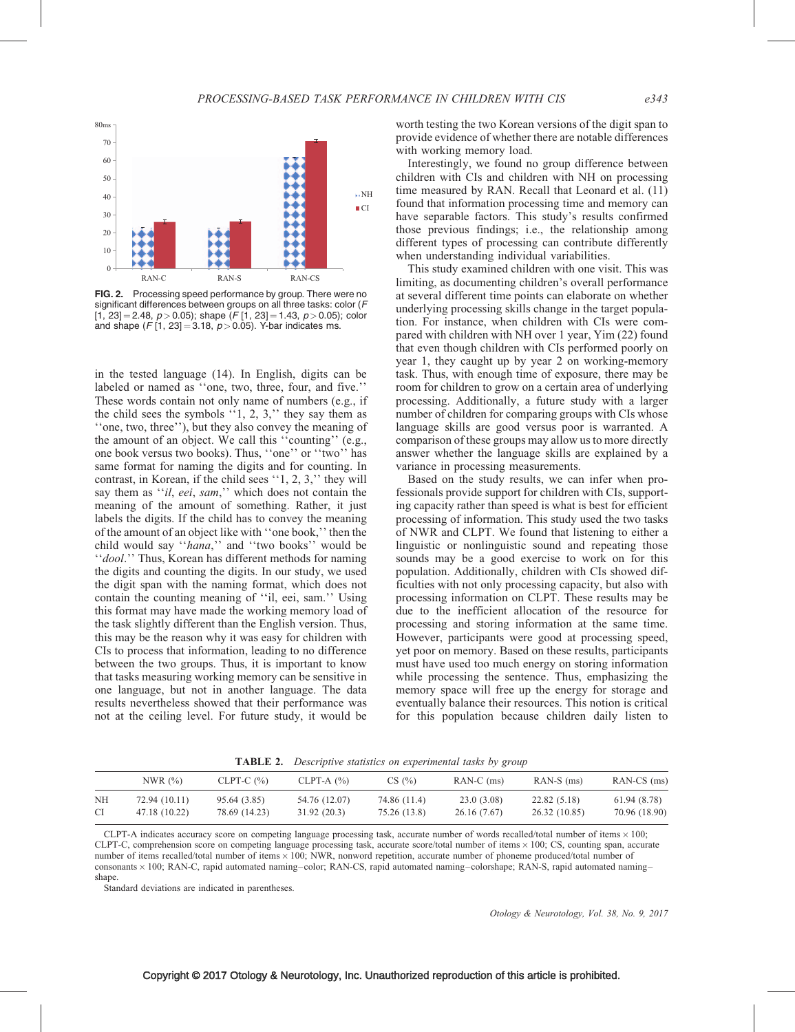

FIG. 2. Processing speed performance by group. There were no significant differences between groups on all three tasks: color (F  $[1, 23] = 2.48$ ,  $p > 0.05$ ; shape  $(F [1, 23] = 1.43, p > 0.05)$ ; color and shape (F [1, 23] = 3.18,  $p > 0.05$ ). Y-bar indicates ms.

in the tested language [\(14\)](#page-5-0). In English, digits can be labeled or named as ''one, two, three, four, and five.'' These words contain not only name of numbers (e.g., if the child sees the symbols  $\lq$  1, 2, 3," they say them as ''one, two, three''), but they also convey the meaning of the amount of an object. We call this ''counting'' (e.g., one book versus two books). Thus, ''one'' or ''two'' has same format for naming the digits and for counting. In contrast, in Korean, if the child sees ''1, 2, 3,'' they will say them as "*il, eei, sam*," which does not contain the meaning of the amount of something. Rather, it just labels the digits. If the child has to convey the meaning of the amount of an object like with ''one book,'' then the child would say "hana," and "two books" would be "dool." Thus, Korean has different methods for naming the digits and counting the digits. In our study, we used the digit span with the naming format, which does not contain the counting meaning of ''il, eei, sam.'' Using this format may have made the working memory load of the task slightly different than the English version. Thus, this may be the reason why it was easy for children with CIs to process that information, leading to no difference between the two groups. Thus, it is important to know that tasks measuring working memory can be sensitive in one language, but not in another language. The data results nevertheless showed that their performance was not at the ceiling level. For future study, it would be

worth testing the two Korean versions of the digit span to provide evidence of whether there are notable differences with working memory load.

Interestingly, we found no group difference between children with CIs and children with NH on processing time measured by RAN. Recall that Leonard et al. [\(11\)](#page-5-0) found that information processing time and memory can have separable factors. This study's results confirmed those previous findings; i.e., the relationship among different types of processing can contribute differently when understanding individual variabilities.

This study examined children with one visit. This was limiting, as documenting children's overall performance at several different time points can elaborate on whether underlying processing skills change in the target population. For instance, when children with CIs were compared with children with NH over 1 year, Yim [\(22\)](#page-5-0) found that even though children with CIs performed poorly on year 1, they caught up by year 2 on working-memory task. Thus, with enough time of exposure, there may be room for children to grow on a certain area of underlying processing. Additionally, a future study with a larger number of children for comparing groups with CIs whose language skills are good versus poor is warranted. A comparison of these groups may allow us to more directly answer whether the language skills are explained by a variance in processing measurements.

Based on the study results, we can infer when professionals provide support for children with CIs, supporting capacity rather than speed is what is best for efficient processing of information. This study used the two tasks of NWR and CLPT. We found that listening to either a linguistic or nonlinguistic sound and repeating those sounds may be a good exercise to work on for this population. Additionally, children with CIs showed difficulties with not only processing capacity, but also with processing information on CLPT. These results may be due to the inefficient allocation of the resource for processing and storing information at the same time. However, participants were good at processing speed, yet poor on memory. Based on these results, participants must have used too much energy on storing information while processing the sentence. Thus, emphasizing the memory space will free up the energy for storage and eventually balance their resources. This notion is critical for this population because children daily listen to

TABLE 2. Descriptive statistics on experimental tasks by group

|    | NWR $(\%)$    | CLPT-C $(%)$  | CLPT-A $(%)$  | CS(%)        | $RAN-C$ (ms) | $RAN-S$ (ms)  | $RAN-CS$ (ms) |
|----|---------------|---------------|---------------|--------------|--------------|---------------|---------------|
| NH | 72.94 (10.11) | 95.64 (3.85)  | 54.76 (12.07) | 74.86 (11.4) | 23.0(3.08)   | 22.82 (5.18)  | 61.94 (8.78)  |
| CI | 47.18 (10.22) | 78.69 (14.23) | 31.92(20.3)   | 75.26 (13.8) | 26.16 (7.67) | 26.32 (10.85) | 70.96 (18.90) |

CLPT-A indicates accuracy score on competing language processing task, accurate number of words recalled/total number of items  $\times$  100; CLPT-C, comprehension score on competing language processing task, accurate score/total number of items 100; CS, counting span, accurate number of items recalled/total number of items  $\times$  100; NWR, nonword repetition, accurate number of phoneme produced/total number of consonants × 100; RAN-C, rapid automated naming–color; RAN-CS, rapid automated naming–colorshape; RAN-S, rapid automated naming– shape.

Standard deviations are indicated in parentheses.

Otology & Neurotology, Vol. 38, No. 9, 2017